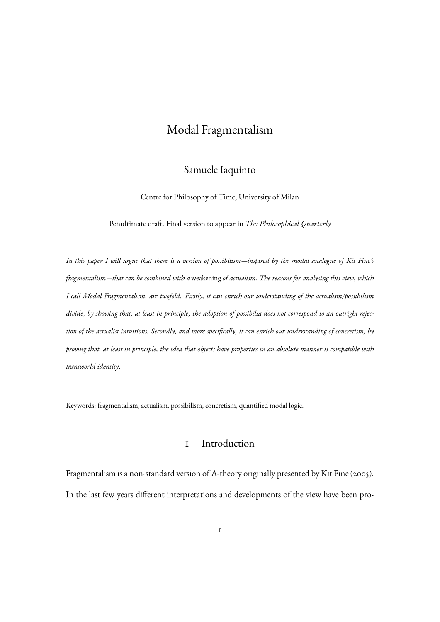# Modal Fragmentalism

#### Samuele Iaquinto

Centre for Philosophy of Time, University of Milan

Penultimate draft. Final version to appear in *The Philosophical Quarterly*

*In this paper I will argue that there is a version of possibilism—inspired by the modal analogue of Kit Fine's fragmentalism—that can be combined with a* weakening *of actualism. The reasons for analysing this view, which I call Modal Fragmentalism, are twofold. Firstly, it can enrich our understanding of the actualism/possibilism divide, by showing that, at least in principle, the adoption of possibilia does not correspond to an outright rejection of the actualist intuitions. Secondly, and more specifically, it can enrich our understanding of concretism, by proving that, at least in principle, the idea that objects have properties in an absolute manner is compatible with transworld identity*.

Keywords: fragmentalism, actualism, possibilism, concretism, quantified modal logic.

### 1 Introduction

Fragmentalism is a non-standard version of A-theory originally presented by Kit Fine (2005). In the last few years different interpretations and developments of the view have been pro-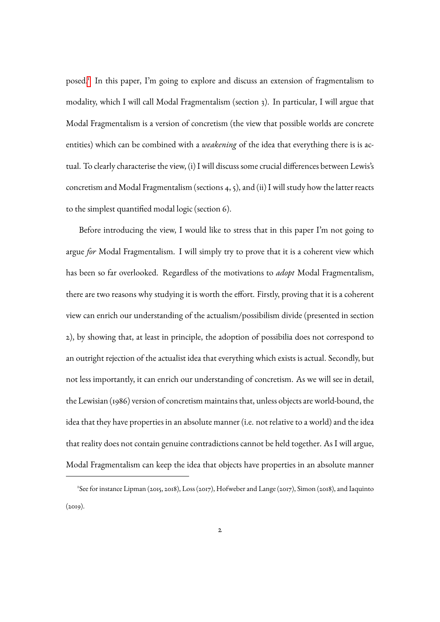posed.[1](#page-1-0) In this paper, I'm going to explore and discuss an extension of fragmentalism to modality, which I will call Modal Fragmentalism (section 3). In particular, I will argue that Modal Fragmentalism is a version of concretism (the view that possible worlds are concrete entities) which can be combined with a *weakening* of the idea that everything there is is actual. To clearly characterise the view, (i) I will discuss some crucial differences between Lewis's concretism and Modal Fragmentalism (sections 4, 5), and (ii) I will study how the latter reacts to the simplest quantified modal logic (section 6).

Before introducing the view, I would like to stress that in this paper I'm not going to argue *for* Modal Fragmentalism. I will simply try to prove that it is a coherent view which has been so far overlooked. Regardless of the motivations to *adopt* Modal Fragmentalism, there are two reasons why studying it is worth the effort. Firstly, proving that it is a coherent view can enrich our understanding of the actualism/possibilism divide (presented in section 2), by showing that, at least in principle, the adoption of possibilia does not correspond to an outright rejection of the actualist idea that everything which exists is actual. Secondly, but not less importantly, it can enrich our understanding of concretism. As we will see in detail, the Lewisian (1986) version of concretism maintains that, unless objects are world-bound, the idea that they have properties in an absolute manner (i.e. not relative to a world) and the idea that reality does not contain genuine contradictions cannot be held together. As I will argue, Modal Fragmentalism can keep the idea that objects have properties in an absolute manner

<span id="page-1-0"></span><sup>1</sup> See for instance Lipman (2015, 2018), Loss (2017), Hofweber and Lange (2017), Simon (2018), and Iaquinto  $(2019)$ .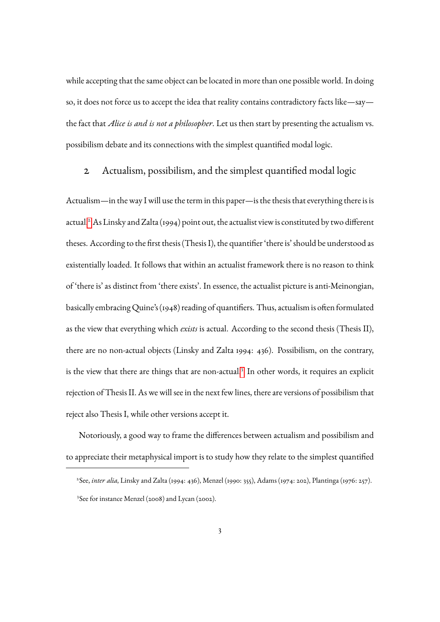while accepting that the same object can be located in more than one possible world. In doing so, it does not force us to accept the idea that reality contains contradictory facts like—say the fact that *Alice is and is not a philosopher*. Let us then start by presenting the actualism vs. possibilism debate and its connections with the simplest quantified modal logic.

#### 2 Actualism, possibilism, and the simplest quantified modal logic

Actualism—in the way I will use the term in this paper—is the thesis that everything there is is actual.[2](#page-2-0) As Linsky and Zalta (1994) point out, the actualist view is constituted by two different theses. According to the first thesis (Thesis I), the quantifier 'there is' should be understood as existentially loaded. It follows that within an actualist framework there is no reason to think of 'there is' as distinct from 'there exists'. In essence, the actualist picture is anti-Meinongian, basically embracing Quine's (1948) reading of quantifiers. Thus, actualism is often formulated as the view that everything which *exists* is actual. According to the second thesis (Thesis II), there are no non-actual objects (Linsky and Zalta 1994: 436). Possibilism, on the contrary, is the view that there are things that are non-actual.<sup>[3](#page-2-1)</sup> In other words, it requires an explicit rejection of Thesis II. As we will see in the next few lines, there are versions of possibilism that reject also Thesis I, while other versions accept it.

Notoriously, a good way to frame the differences between actualism and possibilism and to appreciate their metaphysical import is to study how they relate to the simplest quantified

<span id="page-2-1"></span><span id="page-2-0"></span><sup>2</sup> See, *inter alia*, Linsky and Zalta (1994: 436), Menzel (1990: 355), Adams (1974: 202), Plantinga (1976: 257). 3 See for instance Menzel (2008) and Lycan (2002).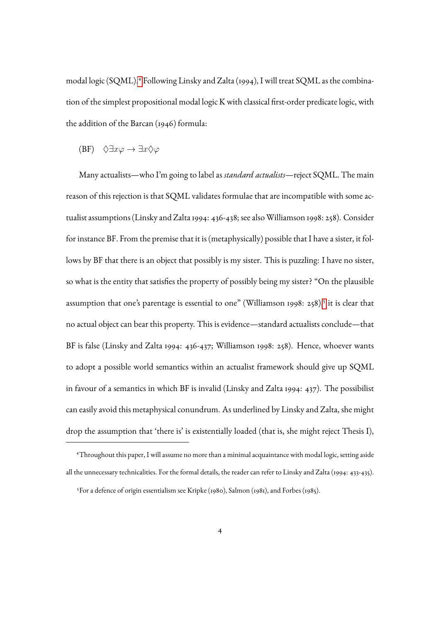modal logic (SQML).[4](#page-3-0) Following Linsky and Zalta (1994), I will treat SQML as the combination of the simplest propositional modal logic K with classical first-order predicate logic, with the addition of the Barcan (1946) formula:

(BF) 
$$
\Diamond \exists x \varphi \rightarrow \exists x \Diamond \varphi
$$

Many actualists—who I'm going to label as *standard actualists*—reject SQML. The main reason of this rejection is that SQML validates formulae that are incompatible with some actualist assumptions (Linsky and Zalta 1994: 436-438; see also Williamson 1998: 258). Consider for instance BF. From the premise that it is (metaphysically) possible that I have a sister, it follows by BF that there is an object that possibly is my sister. This is puzzling: I have no sister, so what is the entity that satisfies the property of possibly being my sister? "On the plausible assumption that one's parentage is essential to one" (Williamson 1998: 2[5](#page-3-1)8),<sup>5</sup> it is clear that no actual object can bear this property. This is evidence—standard actualists conclude—that BF is false (Linsky and Zalta 1994: 436-437; Williamson 1998: 258). Hence, whoever wants to adopt a possible world semantics within an actualist framework should give up SQML in favour of a semantics in which BF is invalid (Linsky and Zalta 1994: 437). The possibilist can easily avoid this metaphysical conundrum. As underlined by Linsky and Zalta, she might drop the assumption that 'there is' is existentially loaded (that is, she might reject Thesis I),

<span id="page-3-0"></span><sup>4</sup>Throughout this paper, I will assume no more than a minimal acquaintance with modal logic, setting aside all the unnecessary technicalities. For the formal details, the reader can refer to Linsky and Zalta (1994: 433-435).

<span id="page-3-1"></span><sup>5</sup>For a defence of origin essentialism see Kripke (1980), Salmon (1981), and Forbes (1985).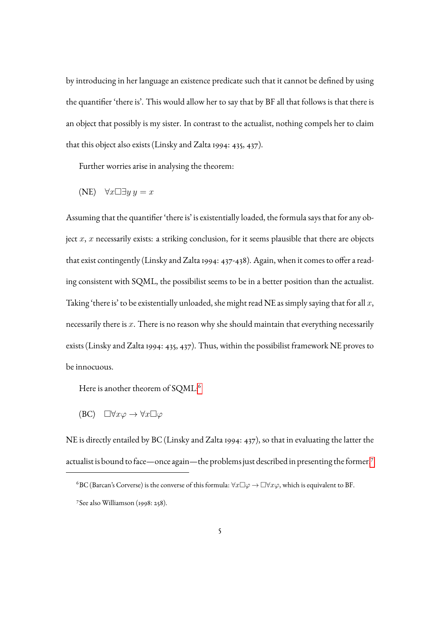by introducing in her language an existence predicate such that it cannot be defined by using the quantifier 'there is'. This would allow her to say that by BF all that follows is that there is an object that possibly is my sister. In contrast to the actualist, nothing compels her to claim that this object also exists (Linsky and Zalta 1994: 435, 437).

Further worries arise in analysing the theorem:

$$
(NE) \quad \forall x \Box \exists y \ y = x
$$

Assuming that the quantifier 'there is' is existentially loaded, the formula says that for any object  $x$ ,  $x$  necessarily exists: a striking conclusion, for it seems plausible that there are objects that exist contingently (Linsky and Zalta 1994: 437-438). Again, when it comes to offer a reading consistent with SQML, the possibilist seems to be in a better position than the actualist. Taking 'there is' to be existentially unloaded, she might read NE as simply saying that for all  $x$ , necessarily there is  $x$ . There is no reason why she should maintain that everything necessarily exists (Linsky and Zalta 1994: 435, 437). Thus, within the possibilist framework NE proves to be innocuous.

Here is another theorem of SQML:<sup>[6](#page-4-0)</sup>

(BC)  $\Box \forall x \varphi \rightarrow \forall x \Box \varphi$ 

NE is directly entailed by BC (Linsky and Zalta 1994: 437), so that in evaluating the latter the actualist is bound to face—once again—the problems just described in presenting the former.<sup>[7](#page-4-1)</sup>

<span id="page-4-1"></span><span id="page-4-0"></span><sup>&</sup>lt;sup>6</sup>BC (Barcan's Corverse) is the converse of this formula:  $\forall x \Box \varphi \rightarrow \Box \forall x \varphi$ , which is equivalent to BF. 7 See also Williamson (1998: 258).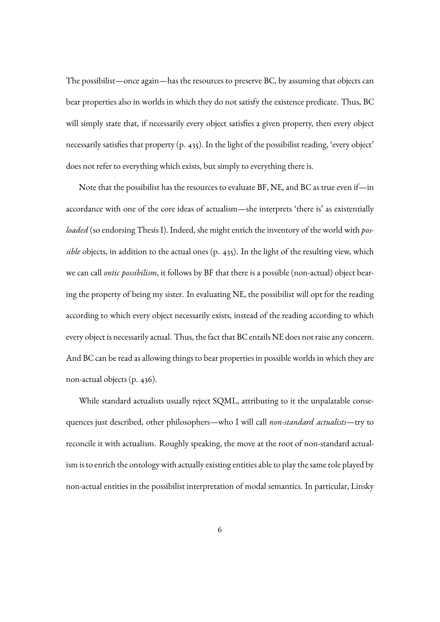The possibilist—once again—has the resources to preserve BC, by assuming that objects can bear properties also in worlds in which they do not satisfy the existence predicate. Thus, BC will simply state that, if necessarily every object satisfies a given property, then every object necessarily satisfies that property (p. 435). In the light of the possibilist reading, 'every object' does not refer to everything which exists, but simply to everything there is.

Note that the possibilist has the resources to evaluate BF, NE, and BC as true even if—in accordance with one of the core ideas of actualism—she interprets 'there is' as existentially *loaded* (so endorsing Thesis I). Indeed, she might enrich the inventory of the world with *possible* objects, in addition to the actual ones (p. 435). In the light of the resulting view, which we can call *ontic possibilism*, it follows by BF that there is a possible (non-actual) object bearing the property of being my sister. In evaluating NE, the possibilist will opt for the reading according to which every object necessarily exists, instead of the reading according to which every object is necessarily actual. Thus, the fact that BC entails NE does not raise any concern. And BC can be read as allowing things to bear properties in possible worlds in which they are non-actual objects (p. 436).

While standard actualists usually reject SQML, attributing to it the unpalatable consequences just described, other philosophers—who I will call *non-standard actualists*—try to reconcile it with actualism. Roughly speaking, the move at the root of non-standard actualism is to enrich the ontology with actually existing entities able to play the same role played by non-actual entities in the possibilist interpretation of modal semantics. In particular, Linsky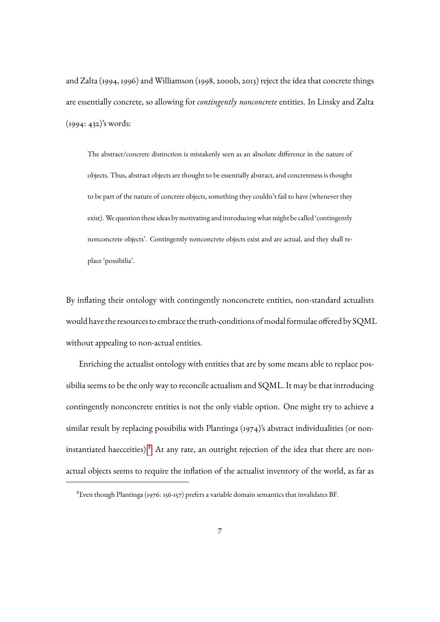and Zalta (1994, 1996) and Williamson (1998, 2000b, 2013) reject the idea that concrete things are essentially concrete, so allowing for *contingently nonconcrete* entities. In Linsky and Zalta (1994: 432)'s words:

The abstract/concrete distinction is mistakenly seen as an absolute difference in the nature of objects. Thus, abstract objects are thought to be essentially abstract, and concreteness is thought to be part of the nature of concrete objects, something they couldn't fail to have (whenever they exist). We question these ideas by motivating and introducing what might be called 'contingently nonconcrete objects'. Contingently nonconcrete objects exist and are actual, and they shall replace 'possibilia'.

By inflating their ontology with contingently nonconcrete entities, non-standard actualists would have the resources to embrace the truth-conditions of modal formulae offered by SQML without appealing to non-actual entities.

Enriching the actualist ontology with entities that are by some means able to replace possibilia seems to be the only way to reconcile actualism and SQML. It may be that introducing contingently nonconcrete entities is not the only viable option. One might try to achieve a similar result by replacing possibilia with Plantinga (1974)'s abstract individualities (or non-instantiated haecceities).<sup>[8](#page-6-0)</sup> At any rate, an outright rejection of the idea that there are nonactual objects seems to require the inflation of the actualist inventory of the world, as far as

<span id="page-6-0"></span><sup>8</sup>Even though Plantinga (1976: 156-157) prefers a variable domain semantics that invalidates BF.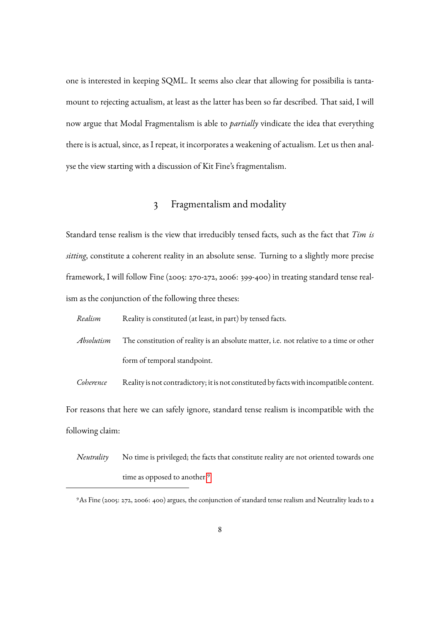one is interested in keeping SQML. It seems also clear that allowing for possibilia is tantamount to rejecting actualism, at least as the latter has been so far described. That said, I will now argue that Modal Fragmentalism is able to *partially* vindicate the idea that everything there is is actual, since, as I repeat, it incorporates a weakening of actualism. Let us then analyse the view starting with a discussion of Kit Fine's fragmentalism.

#### 3 Fragmentalism and modality

Standard tense realism is the view that irreducibly tensed facts, such as the fact that *Tim is sitting*, constitute a coherent reality in an absolute sense. Turning to a slightly more precise framework, I will follow Fine (2005: 270-272, 2006: 399-400) in treating standard tense realism as the conjunction of the following three theses:

*Realism* Reality is constituted (at least, in part) by tensed facts.

*Absolutism* The constitution of reality is an absolute matter, i.e. not relative to a time or other form of temporal standpoint.

*Coherence* Reality is not contradictory; it is not constituted by facts with incompatible content.

For reasons that here we can safely ignore, standard tense realism is incompatible with the following claim:

*Neutrality* No time is privileged; the facts that constitute reality are not oriented towards one time as opposed to another.<sup>[9](#page-7-0)</sup>

<span id="page-7-0"></span><sup>9</sup>As Fine (2005: 272, 2006: 400) argues, the conjunction of standard tense realism and Neutrality leads to a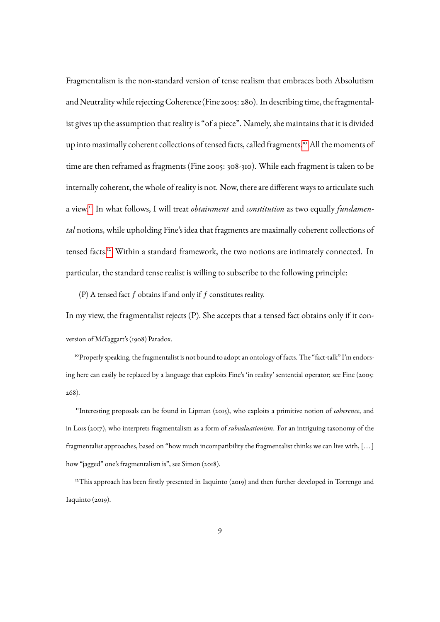Fragmentalism is the non-standard version of tense realism that embraces both Absolutism and Neutrality while rejecting Coherence (Fine 2005: 280). In describing time, the fragmentalist gives up the assumption that reality is "of a piece". Namely, she maintains that it is divided up into maximally coherent collections of tensed facts, called fragments.<sup>[10](#page-8-0)</sup> All the moments of time are then reframed as fragments (Fine 2005: 308-310). While each fragment is taken to be internally coherent, the whole of reality is not. Now, there are different ways to articulate such a view.[11](#page-8-1) In what follows, I will treat *obtainment* and *constitution* as two equally *fundamental* notions, while upholding Fine's idea that fragments are maximally coherent collections of tensed facts.<sup>[12](#page-8-2)</sup> Within a standard framework, the two notions are intimately connected. In particular, the standard tense realist is willing to subscribe to the following principle:

(P) A tensed fact  $f$  obtains if and only if  $f$  constitutes reality.

In my view, the fragmentalist rejects (P). She accepts that a tensed fact obtains only if it conversion of McTaggart's (1908) Paradox.

<span id="page-8-0"></span><sup>10</sup> Properly speaking, the fragmentalist is not bound to adopt an ontology of facts. The "fact-talk" I'm endorsing here can easily be replaced by a language that exploits Fine's 'in reality' sentential operator; see Fine (2005: 268).

<span id="page-8-1"></span><sup>11</sup>Interesting proposals can be found in Lipman (2015), who exploits a primitive notion of *coherence*, and in Loss (2017), who interprets fragmentalism as a form of *subvaluationism*. For an intriguing taxonomy of the fragmentalist approaches, based on "how much incompatibility the fragmentalist thinks we can live with, [... ] how "jagged" one's fragmentalism is", see Simon (2018).

<span id="page-8-2"></span><sup>12</sup>This approach has been firstly presented in Iaquinto (2019) and then further developed in Torrengo and Iaquinto (2019).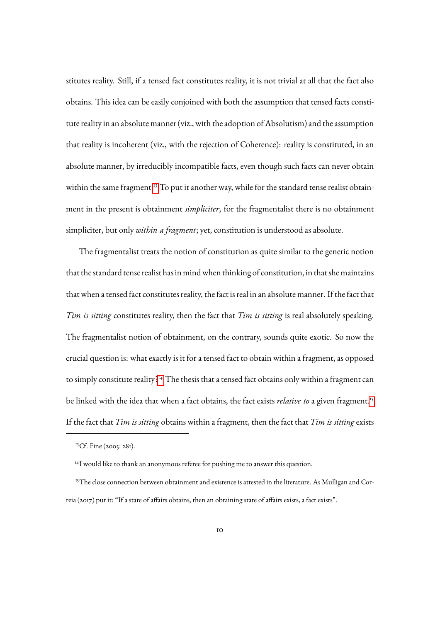stitutes reality. Still, if a tensed fact constitutes reality, it is not trivial at all that the fact also obtains. This idea can be easily conjoined with both the assumption that tensed facts constitute reality in an absolute manner (viz., with the adoption of Absolutism) and the assumption that reality is incoherent (viz., with the rejection of Coherence): reality is constituted, in an absolute manner, by irreducibly incompatible facts, even though such facts can never obtain within the same fragment.<sup>[13](#page-9-0)</sup> To put it another way, while for the standard tense realist obtainment in the present is obtainment *simpliciter*, for the fragmentalist there is no obtainment simpliciter, but only *within a fragment*; yet, constitution is understood as absolute.

The fragmentalist treats the notion of constitution as quite similar to the generic notion that the standard tense realist has in mind when thinking of constitution, in that she maintains that when a tensed fact constitutes reality, the fact is real in an absolute manner. If the fact that *Tim is sitting* constitutes reality, then the fact that *Tim is sitting* is real absolutely speaking. The fragmentalist notion of obtainment, on the contrary, sounds quite exotic. So now the crucial question is: what exactly is it for a tensed fact to obtain within a fragment, as opposed to simply constitute reality?<sup>[14](#page-9-1)</sup> The thesis that a tensed fact obtains only within a fragment can be linked with the idea that when a fact obtains, the fact exists *relative to* a given fragment.<sup>[15](#page-9-2)</sup> If the fact that *Tim is sitting* obtains within a fragment, then the fact that *Tim is sitting* exists

<span id="page-9-1"></span><span id="page-9-0"></span><sup>&</sup>lt;sup>13</sup>Cf. Fine (2005: 281).

<span id="page-9-2"></span><sup>&</sup>lt;sup>14</sup>I would like to thank an anonymous referee for pushing me to answer this question.

<sup>&</sup>lt;sup>15</sup>The close connection between obtainment and existence is attested in the literature. As Mulligan and Correia (2017) put it: "If a state of affairs obtains, then an obtaining state of affairs exists, a fact exists".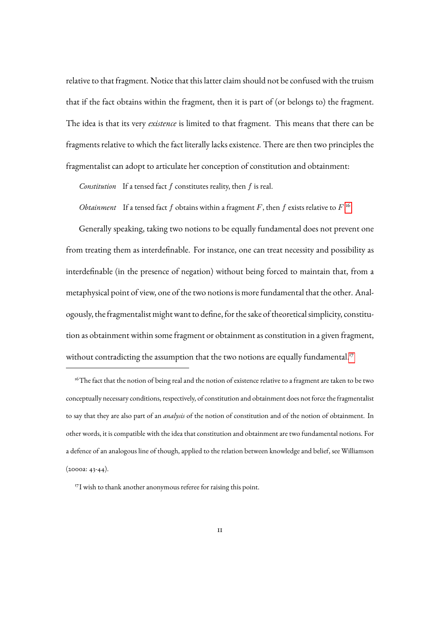relative to that fragment. Notice that this latter claim should not be confused with the truism that if the fact obtains within the fragment, then it is part of (or belongs to) the fragment. The idea is that its very *existence* is limited to that fragment. This means that there can be fragments relative to which the fact literally lacks existence. There are then two principles the fragmentalist can adopt to articulate her conception of constitution and obtainment:

*Constitution* If a tensed fact f constitutes reality, then f is real.

*Obtainment* If a tensed fact  $f$  obtains within a fragment  $F$ , then  $f$  exists relative to  $F$ .<sup>[16](#page-10-0)</sup>

Generally speaking, taking two notions to be equally fundamental does not prevent one from treating them as interdefinable. For instance, one can treat necessity and possibility as interdefinable (in the presence of negation) without being forced to maintain that, from a metaphysical point of view, one of the two notions is more fundamental that the other. Analogously, the fragmentalist might want to define, for the sake of theoretical simplicity, constitution as obtainment within some fragment or obtainment as constitution in a given fragment, without contradicting the assumption that the two notions are equally fundamental.<sup>[17](#page-10-1)</sup>

<span id="page-10-0"></span><sup>&</sup>lt;sup>16</sup>The fact that the notion of being real and the notion of existence relative to a fragment are taken to be two conceptually necessary conditions, respectively, of constitution and obtainment does not force the fragmentalist to say that they are also part of an *analysis* of the notion of constitution and of the notion of obtainment. In other words, it is compatible with the idea that constitution and obtainment are two fundamental notions. For a defence of an analogous line of though, applied to the relation between knowledge and belief, see Williamson (2000a: 43-44).

<span id="page-10-1"></span><sup>&</sup>lt;sup>17</sup>I wish to thank another anonymous referee for raising this point.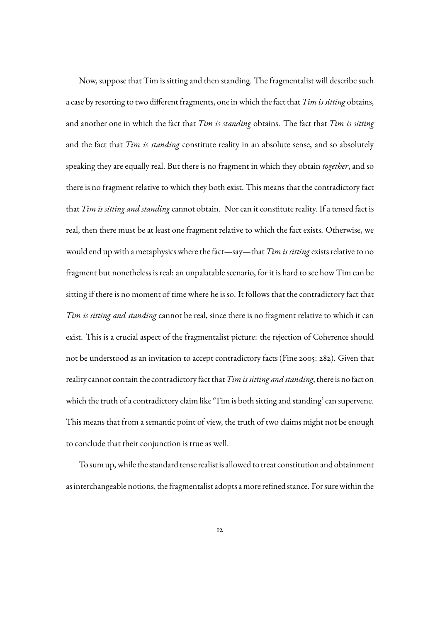Now, suppose that Tim is sitting and then standing. The fragmentalist will describe such a case by resorting to two different fragments, one in which the fact that*Tim is sitting* obtains, and another one in which the fact that *Tim is standing* obtains. The fact that *Tim is sitting* and the fact that *Tim is standing* constitute reality in an absolute sense, and so absolutely speaking they are equally real. But there is no fragment in which they obtain *together*, and so there is no fragment relative to which they both exist. This means that the contradictory fact that *Tim is sitting and standing* cannot obtain. Nor can it constitute reality. If a tensed fact is real, then there must be at least one fragment relative to which the fact exists. Otherwise, we would end up with a metaphysics where the fact—say—that *Tim is sitting* exists relative to no fragment but nonetheless is real: an unpalatable scenario, for it is hard to see how Tim can be sitting if there is no moment of time where he is so. It follows that the contradictory fact that *Tim is sitting and standing* cannot be real, since there is no fragment relative to which it can exist. This is a crucial aspect of the fragmentalist picture: the rejection of Coherence should not be understood as an invitation to accept contradictory facts (Fine 2005: 282). Given that reality cannot contain the contradictory fact that*Tim is sitting and standing*, there is no fact on which the truth of a contradictory claim like 'Tim is both sitting and standing' can supervene. This means that from a semantic point of view, the truth of two claims might not be enough to conclude that their conjunction is true as well.

To sum up, while the standard tense realist is allowed to treat constitution and obtainment as interchangeable notions, the fragmentalist adopts a more refined stance. For sure within the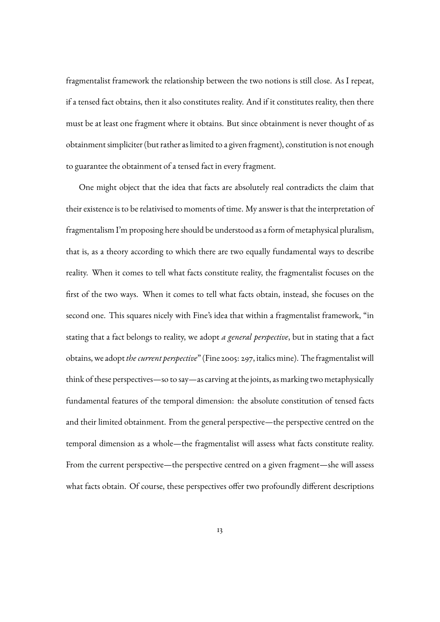fragmentalist framework the relationship between the two notions is still close. As I repeat, if a tensed fact obtains, then it also constitutes reality. And if it constitutes reality, then there must be at least one fragment where it obtains. But since obtainment is never thought of as obtainment simpliciter (but rather as limited to a given fragment), constitution is not enough to guarantee the obtainment of a tensed fact in every fragment.

One might object that the idea that facts are absolutely real contradicts the claim that their existence is to be relativised to moments of time. My answer is that the interpretation of fragmentalism I'm proposing here should be understood as a form of metaphysical pluralism, that is, as a theory according to which there are two equally fundamental ways to describe reality. When it comes to tell what facts constitute reality, the fragmentalist focuses on the first of the two ways. When it comes to tell what facts obtain, instead, she focuses on the second one. This squares nicely with Fine's idea that within a fragmentalist framework, "in stating that a fact belongs to reality, we adopt *a general perspective*, but in stating that a fact obtains, we adopt*the current perspective*" (Fine 2005: 297, italics mine). The fragmentalist will think of these perspectives—so to say—as carving at the joints, as marking two metaphysically fundamental features of the temporal dimension: the absolute constitution of tensed facts and their limited obtainment. From the general perspective—the perspective centred on the temporal dimension as a whole—the fragmentalist will assess what facts constitute reality. From the current perspective—the perspective centred on a given fragment—she will assess what facts obtain. Of course, these perspectives offer two profoundly different descriptions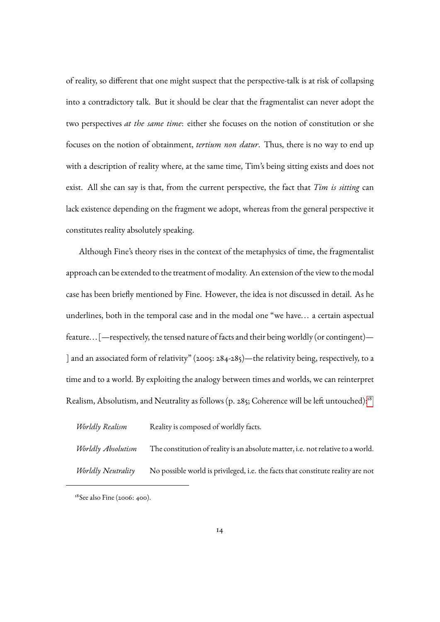of reality, so different that one might suspect that the perspective-talk is at risk of collapsing into a contradictory talk. But it should be clear that the fragmentalist can never adopt the two perspectives *at the same time*: either she focuses on the notion of constitution or she focuses on the notion of obtainment, *tertium non datur*. Thus, there is no way to end up with a description of reality where, at the same time, Tim's being sitting exists and does not exist. All she can say is that, from the current perspective, the fact that *Tim is sitting* can lack existence depending on the fragment we adopt, whereas from the general perspective it constitutes reality absolutely speaking.

Although Fine's theory rises in the context of the metaphysics of time, the fragmentalist approach can be extended to the treatment of modality. An extension of the view to the modal case has been briefly mentioned by Fine. However, the idea is not discussed in detail. As he underlines, both in the temporal case and in the modal one "we have... a certain aspectual feature... [—respectively, the tensed nature of facts and their being worldly (or contingent)— ] and an associated form of relativity" (2005: 284-285)—the relativity being, respectively, to a time and to a world. By exploiting the analogy between times and worlds, we can reinterpret Realism, Absolutism, and Neutrality as follows (p. 285; Coherence will be left untouched):<sup>[18](#page-13-0)</sup>

| Worldly Realism    | Reality is composed of worldly facts.                                            |
|--------------------|----------------------------------------------------------------------------------|
| Worldly Absolutism | The constitution of reality is an absolute matter, i.e. not relative to a world. |
| Worldly Neutrality | No possible world is privileged, i.e. the facts that constitute reality are not  |

<span id="page-13-0"></span><sup>&</sup>lt;sup>18</sup>See also Fine (2006: 400).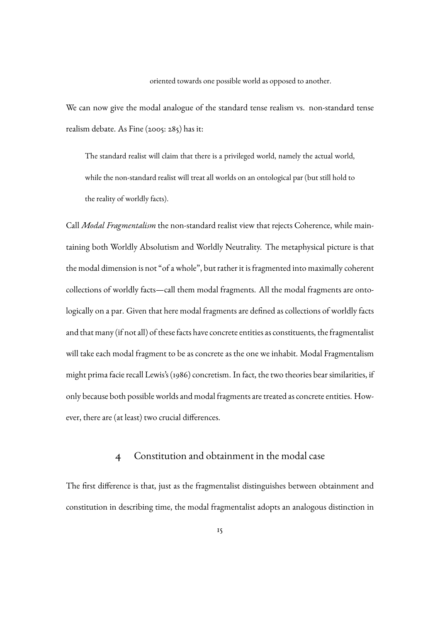oriented towards one possible world as opposed to another.

We can now give the modal analogue of the standard tense realism vs. non-standard tense realism debate. As Fine (2005: 285) has it:

The standard realist will claim that there is a privileged world, namely the actual world, while the non-standard realist will treat all worlds on an ontological par (but still hold to the reality of worldly facts).

Call *Modal Fragmentalism* the non-standard realist view that rejects Coherence, while maintaining both Worldly Absolutism and Worldly Neutrality. The metaphysical picture is that the modal dimension is not "of a whole", but rather it is fragmented into maximally coherent collections of worldly facts—call them modal fragments. All the modal fragments are ontologically on a par. Given that here modal fragments are defined as collections of worldly facts and that many (if not all) of these facts have concrete entities as constituents, the fragmentalist will take each modal fragment to be as concrete as the one we inhabit. Modal Fragmentalism might prima facie recall Lewis's (1986) concretism. In fact, the two theories bear similarities, if only because both possible worlds and modal fragments are treated as concrete entities. However, there are (at least) two crucial differences.

#### 4 Constitution and obtainment in the modal case

The first difference is that, just as the fragmentalist distinguishes between obtainment and constitution in describing time, the modal fragmentalist adopts an analogous distinction in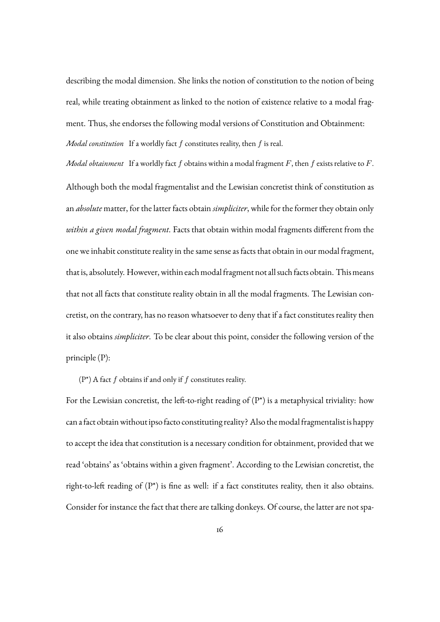describing the modal dimension. She links the notion of constitution to the notion of being real, while treating obtainment as linked to the notion of existence relative to a modal fragment. Thus, she endorses the following modal versions of Constitution and Obtainment: *Modal constitution* If a worldly fact f constitutes reality, then f is real.

*Modal obtainment* If a worldly fact f obtains within a modal fragment F, then f exists relative to F. Although both the modal fragmentalist and the Lewisian concretist think of constitution as an *absolute* matter, for the latter facts obtain *simpliciter*, while for the former they obtain only *within a given modal fragment*. Facts that obtain within modal fragments different from the one we inhabit constitute reality in the same sense as facts that obtain in our modal fragment, that is, absolutely. However, within each modal fragment not all such facts obtain. This means that not all facts that constitute reality obtain in all the modal fragments. The Lewisian concretist, on the contrary, has no reason whatsoever to deny that if a fact constitutes reality then it also obtains *simpliciter*. To be clear about this point, consider the following version of the principle (P):

(P\*) A fact  $f$  obtains if and only if  $f$  constitutes reality.

For the Lewisian concretist, the left-to-right reading of  $(P^*)$  is a metaphysical triviality: how can a fact obtain without ipso facto constituting reality? Also the modal fragmentalist is happy to accept the idea that constitution is a necessary condition for obtainment, provided that we read 'obtains' as 'obtains within a given fragment'. According to the Lewisian concretist, the right-to-left reading of (P\*) is fine as well: if a fact constitutes reality, then it also obtains. Consider for instance the fact that there are talking donkeys. Of course, the latter are not spa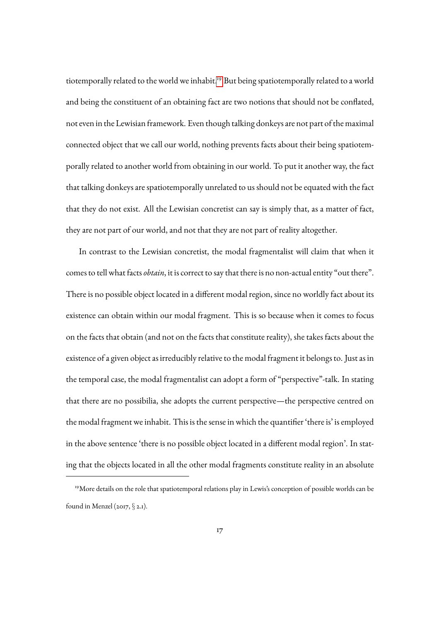tiotemporally related to the world we inhabit.<sup>[19](#page-16-0)</sup> But being spatiotemporally related to a world and being the constituent of an obtaining fact are two notions that should not be conflated, not even in the Lewisian framework. Even though talking donkeys are not part of the maximal connected object that we call our world, nothing prevents facts about their being spatiotemporally related to another world from obtaining in our world. To put it another way, the fact that talking donkeys are spatiotemporally unrelated to us should not be equated with the fact that they do not exist. All the Lewisian concretist can say is simply that, as a matter of fact, they are not part of our world, and not that they are not part of reality altogether.

In contrast to the Lewisian concretist, the modal fragmentalist will claim that when it comes to tell what facts *obtain*, it is correct to say that there is no non-actual entity "out there". There is no possible object located in a different modal region, since no worldly fact about its existence can obtain within our modal fragment. This is so because when it comes to focus on the facts that obtain (and not on the facts that constitute reality), she takes facts about the existence of a given object as irreducibly relative to the modal fragment it belongs to. Just as in the temporal case, the modal fragmentalist can adopt a form of "perspective"-talk. In stating that there are no possibilia, she adopts the current perspective—the perspective centred on the modal fragment we inhabit. This is the sense in which the quantifier 'there is' is employed in the above sentence 'there is no possible object located in a different modal region'. In stating that the objects located in all the other modal fragments constitute reality in an absolute

<span id="page-16-0"></span><sup>&</sup>lt;sup>19</sup>More details on the role that spatiotemporal relations play in Lewis's conception of possible worlds can be found in Menzel (2017, § 2.1).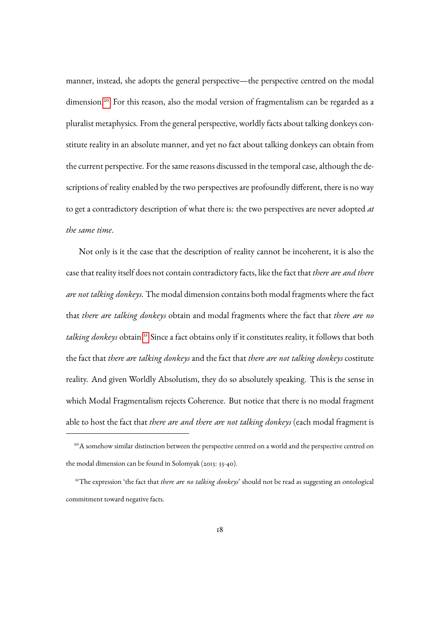manner, instead, she adopts the general perspective—the perspective centred on the modal dimension.<sup>[20](#page-17-0)</sup> For this reason, also the modal version of fragmentalism can be regarded as a pluralist metaphysics. From the general perspective, worldly facts about talking donkeys constitute reality in an absolute manner, and yet no fact about talking donkeys can obtain from the current perspective. For the same reasons discussed in the temporal case, although the descriptions of reality enabled by the two perspectives are profoundly different, there is no way to get a contradictory description of what there is: the two perspectives are never adopted *at the same time*.

Not only is it the case that the description of reality cannot be incoherent, it is also the case that reality itself does not contain contradictory facts, like the fact that *there are and there are not talking donkeys*. The modal dimension contains both modal fragments where the fact that *there are talking donkeys* obtain and modal fragments where the fact that *there are no* talking donkeys obtain.<sup>[21](#page-17-1)</sup> Since a fact obtains only if it constitutes reality, it follows that both the fact that *there are talking donkeys* and the fact that *there are not talking donkeys* costitute reality. And given Worldly Absolutism, they do so absolutely speaking. This is the sense in which Modal Fragmentalism rejects Coherence. But notice that there is no modal fragment able to host the fact that *there are and there are not talking donkeys* (each modal fragment is

<span id="page-17-0"></span><sup>&</sup>lt;sup>20</sup>A somehow similar distinction between the perspective centred on a world and the perspective centred on the modal dimension can be found in Solomyak (2013: 33-40).

<span id="page-17-1"></span><sup>21</sup>The expression 'the fact that *there are no talking donkeys*' should not be read as suggesting an ontological commitment toward negative facts.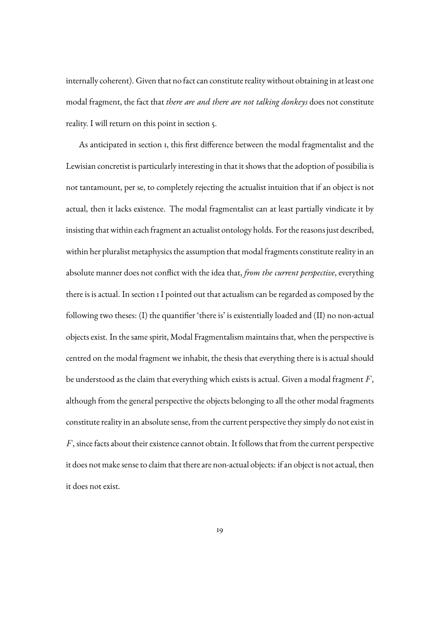internally coherent). Given that no fact can constitute reality without obtaining in at least one modal fragment, the fact that *there are and there are not talking donkeys* does not constitute reality. I will return on this point in section 5.

As anticipated in section 1, this first difference between the modal fragmentalist and the Lewisian concretist is particularly interesting in that it shows that the adoption of possibilia is not tantamount, per se, to completely rejecting the actualist intuition that if an object is not actual, then it lacks existence. The modal fragmentalist can at least partially vindicate it by insisting that within each fragment an actualist ontology holds. For the reasons just described, within her pluralist metaphysics the assumption that modal fragments constitute reality in an absolute manner does not conflict with the idea that, *from the current perspective*, everything there is is actual. In section 1 I pointed out that actualism can be regarded as composed by the following two theses: (I) the quantifier 'there is' is existentially loaded and (II) no non-actual objects exist. In the same spirit, Modal Fragmentalism maintains that, when the perspective is centred on the modal fragment we inhabit, the thesis that everything there is is actual should be understood as the claim that everything which exists is actual. Given a modal fragment  $F$ , although from the general perspective the objects belonging to all the other modal fragments constitute reality in an absolute sense, from the current perspective they simply do not exist in  $F$ , since facts about their existence cannot obtain. It follows that from the current perspective it does not make sense to claim that there are non-actual objects: if an object is not actual, then it does not exist.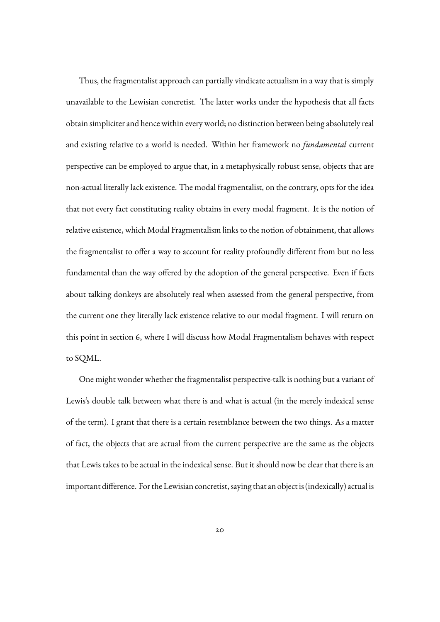Thus, the fragmentalist approach can partially vindicate actualism in a way that is simply unavailable to the Lewisian concretist. The latter works under the hypothesis that all facts obtain simpliciter and hence within every world; no distinction between being absolutely real and existing relative to a world is needed. Within her framework no *fundamental* current perspective can be employed to argue that, in a metaphysically robust sense, objects that are non-actual literally lack existence. The modal fragmentalist, on the contrary, opts for the idea that not every fact constituting reality obtains in every modal fragment. It is the notion of relative existence, which Modal Fragmentalism links to the notion of obtainment, that allows the fragmentalist to offer a way to account for reality profoundly different from but no less fundamental than the way offered by the adoption of the general perspective. Even if facts about talking donkeys are absolutely real when assessed from the general perspective, from the current one they literally lack existence relative to our modal fragment. I will return on this point in section 6, where I will discuss how Modal Fragmentalism behaves with respect to SQML.

One might wonder whether the fragmentalist perspective-talk is nothing but a variant of Lewis's double talk between what there is and what is actual (in the merely indexical sense of the term). I grant that there is a certain resemblance between the two things. As a matter of fact, the objects that are actual from the current perspective are the same as the objects that Lewis takes to be actual in the indexical sense. But it should now be clear that there is an important difference. For the Lewisian concretist, saying that an object is (indexically) actual is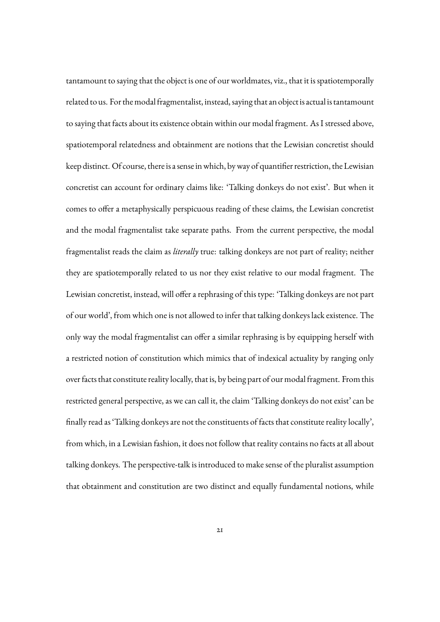tantamount to saying that the object is one of our worldmates, viz., that it is spatiotemporally related to us. For the modal fragmentalist, instead, saying that an object is actual is tantamount to saying that facts about its existence obtain within our modal fragment. As I stressed above, spatiotemporal relatedness and obtainment are notions that the Lewisian concretist should keep distinct. Of course, there is a sense inwhich, byway of quantifier restriction, the Lewisian concretist can account for ordinary claims like: 'Talking donkeys do not exist'. But when it comes to offer a metaphysically perspicuous reading of these claims, the Lewisian concretist and the modal fragmentalist take separate paths. From the current perspective, the modal fragmentalist reads the claim as *literally* true: talking donkeys are not part of reality; neither they are spatiotemporally related to us nor they exist relative to our modal fragment. The Lewisian concretist, instead, will offer a rephrasing of this type: 'Talking donkeys are not part of our world', from which one is not allowed to infer that talking donkeys lack existence. The only way the modal fragmentalist can offer a similar rephrasing is by equipping herself with a restricted notion of constitution which mimics that of indexical actuality by ranging only over facts that constitute reality locally, that is, by being part of our modal fragment. From this restricted general perspective, as we can call it, the claim 'Talking donkeys do not exist' can be finally read as 'Talking donkeys are not the constituents of facts that constitute reality locally', from which, in a Lewisian fashion, it does not follow that reality contains no facts at all about talking donkeys. The perspective-talk is introduced to make sense of the pluralist assumption that obtainment and constitution are two distinct and equally fundamental notions, while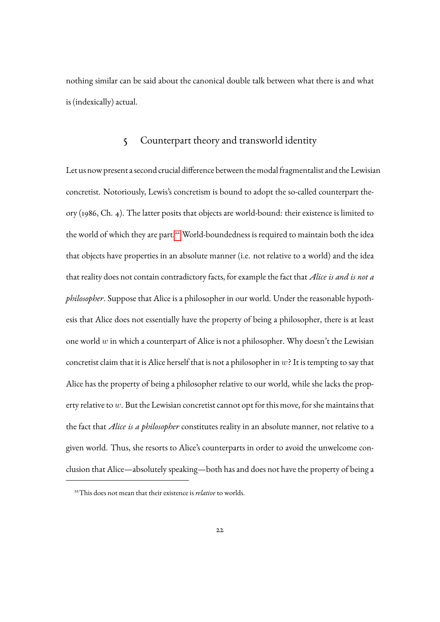nothing similar can be said about the canonical double talk between what there is and what is (indexically) actual.

#### 5 Counterpart theory and transworld identity

Let us now present a second crucial difference between the modal fragmentalist and the Lewisian concretist. Notoriously, Lewis's concretism is bound to adopt the so-called counterpart theory (1986, Ch. 4). The latter posits that objects are world-bound: their existence is limited to the world of which they are part.<sup>[22](#page-21-0)</sup> World-boundedness is required to maintain both the idea that objects have properties in an absolute manner (i.e. not relative to a world) and the idea that reality does not contain contradictory facts, for example the fact that *Alice is and is not a philosopher*. Suppose that Alice is a philosopher in our world. Under the reasonable hypothesis that Alice does not essentially have the property of being a philosopher, there is at least one world  $w$  in which a counterpart of Alice is not a philosopher. Why doesn't the Lewisian concretist claim that it is Alice herself that is not a philosopher in  $w$ ? It is tempting to say that Alice has the property of being a philosopher relative to our world, while she lacks the property relative to  $w$ . But the Lewisian concretist cannot opt for this move, for she maintains that the fact that *Alice is a philosopher* constitutes reality in an absolute manner, not relative to a given world. Thus, she resorts to Alice's counterparts in order to avoid the unwelcome conclusion that Alice—absolutely speaking—both has and does not have the property of being a

<span id="page-21-0"></span><sup>&</sup>lt;sup>22</sup>This does not mean that their existence is *relative* to worlds.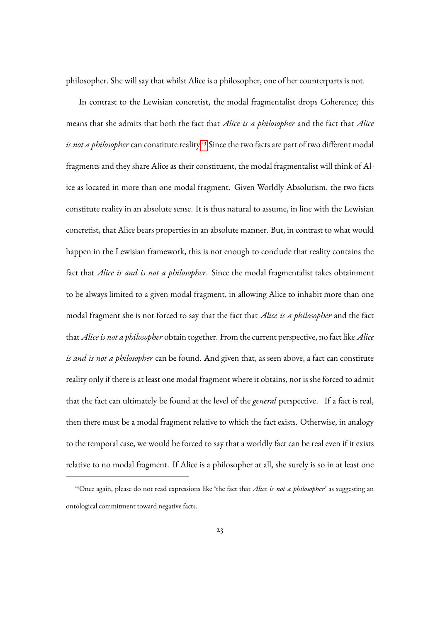philosopher. She will say that whilst Alice is a philosopher, one of her counterparts is not.

In contrast to the Lewisian concretist, the modal fragmentalist drops Coherence; this means that she admits that both the fact that *Alice is a philosopher* and the fact that *Alice is not a philosopher* can constitute reality.<sup>[23](#page-22-0)</sup> Since the two facts are part of two different modal fragments and they share Alice as their constituent, the modal fragmentalist will think of Alice as located in more than one modal fragment. Given Worldly Absolutism, the two facts constitute reality in an absolute sense. It is thus natural to assume, in line with the Lewisian concretist, that Alice bears properties in an absolute manner. But, in contrast to what would happen in the Lewisian framework, this is not enough to conclude that reality contains the fact that *Alice is and is not a philosopher*. Since the modal fragmentalist takes obtainment to be always limited to a given modal fragment, in allowing Alice to inhabit more than one modal fragment she is not forced to say that the fact that *Alice is a philosopher* and the fact that *Alice is not a philosopher* obtain together. From the current perspective, no fact like *Alice is and is not a philosopher* can be found. And given that, as seen above, a fact can constitute reality only if there is at least one modal fragment where it obtains, nor is she forced to admit that the fact can ultimately be found at the level of the *general* perspective. If a fact is real, then there must be a modal fragment relative to which the fact exists. Otherwise, in analogy to the temporal case, we would be forced to say that a worldly fact can be real even if it exists relative to no modal fragment. If Alice is a philosopher at all, she surely is so in at least one

<span id="page-22-0"></span><sup>&</sup>lt;sup>23</sup>Once again, please do not read expressions like 'the fact that *Alice is not a philosopher*' as suggesting an ontological commitment toward negative facts.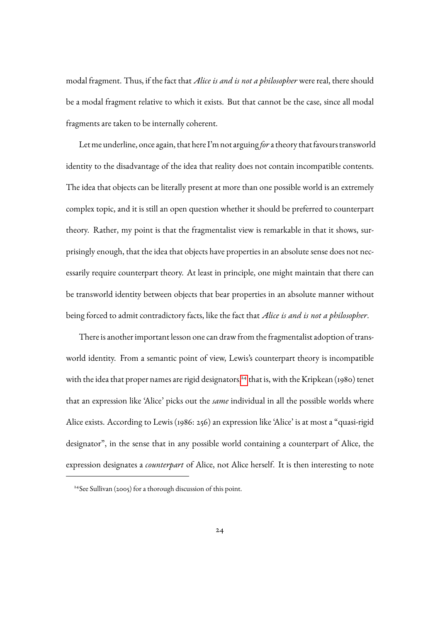modal fragment. Thus, if the fact that *Alice is and is not a philosopher* were real, there should be a modal fragment relative to which it exists. But that cannot be the case, since all modal fragments are taken to be internally coherent.

Let me underline, once again, that here I'm not arguing *for*a theory that favours transworld identity to the disadvantage of the idea that reality does not contain incompatible contents. The idea that objects can be literally present at more than one possible world is an extremely complex topic, and it is still an open question whether it should be preferred to counterpart theory. Rather, my point is that the fragmentalist view is remarkable in that it shows, surprisingly enough, that the idea that objects have properties in an absolute sense does not necessarily require counterpart theory. At least in principle, one might maintain that there can be transworld identity between objects that bear properties in an absolute manner without being forced to admit contradictory facts, like the fact that *Alice is and is not a philosopher*.

There is another important lesson one can draw from the fragmentalist adoption of transworld identity. From a semantic point of view, Lewis's counterpart theory is incompatible with the idea that proper names are rigid designators,<sup>[24](#page-23-0)</sup> that is, with the Kripkean (1980) tenet that an expression like 'Alice' picks out the *same* individual in all the possible worlds where Alice exists. According to Lewis (1986: 256) an expression like 'Alice' is at most a "quasi-rigid designator", in the sense that in any possible world containing a counterpart of Alice, the expression designates a *counterpart* of Alice, not Alice herself. It is then interesting to note

<span id="page-23-0"></span><sup>24</sup>See Sullivan (2005) for a thorough discussion of this point.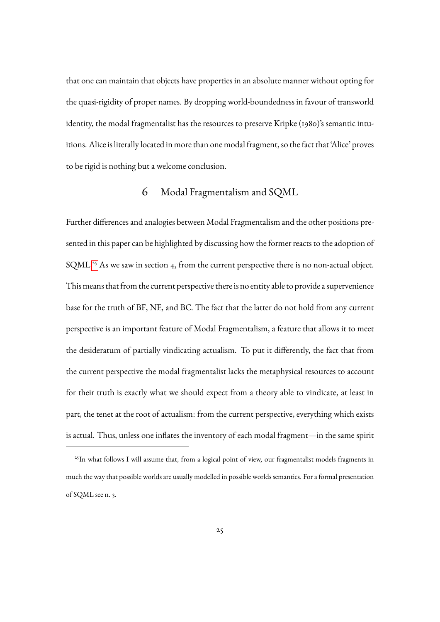that one can maintain that objects have properties in an absolute manner without opting for the quasi-rigidity of proper names. By dropping world-boundedness in favour of transworld identity, the modal fragmentalist has the resources to preserve Kripke (1980)'s semantic intuitions. Alice is literally located in more than one modal fragment, so the fact that 'Alice' proves to be rigid is nothing but a welcome conclusion.

## 6 Modal Fragmentalism and SQML

Further differences and analogies between Modal Fragmentalism and the other positions presented in this paper can be highlighted by discussing how the former reacts to the adoption of SQML.<sup>[25](#page-24-0)</sup> As we saw in section 4, from the current perspective there is no non-actual object. This means that from the current perspective there is no entity able to provide a supervenience base for the truth of BF, NE, and BC. The fact that the latter do not hold from any current perspective is an important feature of Modal Fragmentalism, a feature that allows it to meet the desideratum of partially vindicating actualism. To put it differently, the fact that from the current perspective the modal fragmentalist lacks the metaphysical resources to account for their truth is exactly what we should expect from a theory able to vindicate, at least in part, the tenet at the root of actualism: from the current perspective, everything which exists is actual. Thus, unless one inflates the inventory of each modal fragment—in the same spirit

<span id="page-24-0"></span><sup>&</sup>lt;sup>25</sup>In what follows I will assume that, from a logical point of view, our fragmentalist models fragments in much the way that possible worlds are usually modelled in possible worlds semantics. For a formal presentation of SQML see n. 3.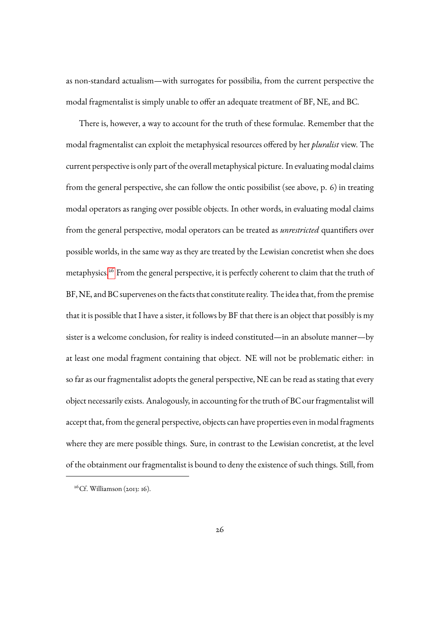as non-standard actualism—with surrogates for possibilia, from the current perspective the modal fragmentalist is simply unable to offer an adequate treatment of BF, NE, and BC.

There is, however, a way to account for the truth of these formulae. Remember that the modal fragmentalist can exploit the metaphysical resources offered by her *pluralist* view. The current perspective is only part of the overall metaphysical picture. In evaluating modal claims from the general perspective, she can follow the ontic possibilist (see above, p. 6) in treating modal operators as ranging over possible objects. In other words, in evaluating modal claims from the general perspective, modal operators can be treated as *unrestricted* quantifiers over possible worlds, in the same way as they are treated by the Lewisian concretist when she does metaphysics.<sup>[26](#page-25-0)</sup> From the general perspective, it is perfectly coherent to claim that the truth of BF, NE, and BC supervenes on the facts that constitute reality. The idea that, from the premise that it is possible that I have a sister, it follows by BF that there is an object that possibly is my sister is a welcome conclusion, for reality is indeed constituted—in an absolute manner—by at least one modal fragment containing that object. NE will not be problematic either: in so far as our fragmentalist adopts the general perspective, NE can be read as stating that every object necessarily exists. Analogously, in accounting for the truth of BC our fragmentalist will accept that, from the general perspective, objects can have properties even in modal fragments where they are mere possible things. Sure, in contrast to the Lewisian concretist, at the level of the obtainment our fragmentalist is bound to deny the existence of such things. Still, from

<span id="page-25-0"></span> $26$ Cf. Williamson (2013: 16).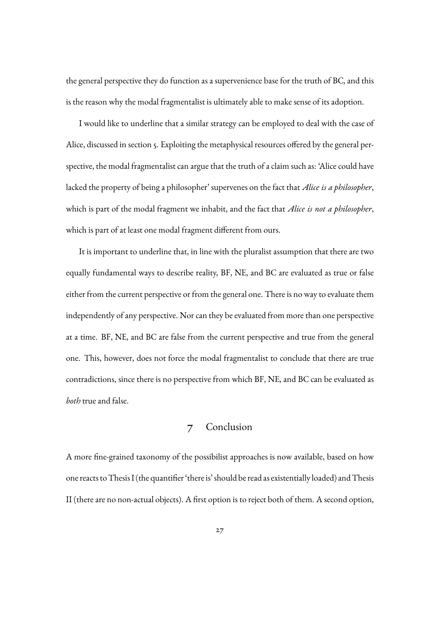the general perspective they do function as a supervenience base for the truth of BC, and this is the reason why the modal fragmentalist is ultimately able to make sense of its adoption.

I would like to underline that a similar strategy can be employed to deal with the case of Alice, discussed in section 5. Exploiting the metaphysical resources offered by the general perspective, the modal fragmentalist can argue that the truth of a claim such as: 'Alice could have lacked the property of being a philosopher' supervenes on the fact that *Alice is a philosopher*, which is part of the modal fragment we inhabit, and the fact that *Alice is not a philosopher*, which is part of at least one modal fragment different from ours.

It is important to underline that, in line with the pluralist assumption that there are two equally fundamental ways to describe reality, BF, NE, and BC are evaluated as true or false either from the current perspective or from the general one. There is no way to evaluate them independently of any perspective. Nor can they be evaluated from more than one perspective at a time. BF, NE, and BC are false from the current perspective and true from the general one. This, however, does not force the modal fragmentalist to conclude that there are true contradictions, since there is no perspective from which BF, NE, and BC can be evaluated as *both* true and false.

### 7 Conclusion

A more fine-grained taxonomy of the possibilist approaches is now available, based on how one reacts to Thesis I (the quantifier 'there is' should be read as existentially loaded) and Thesis II (there are no non-actual objects). A first option is to reject both of them. A second option,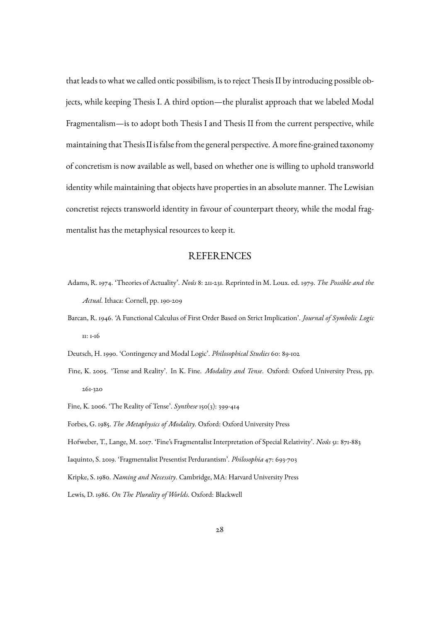that leads to what we called ontic possibilism, is to reject Thesis II by introducing possible objects, while keeping Thesis I. A third option—the pluralist approach that we labeled Modal Fragmentalism—is to adopt both Thesis I and Thesis II from the current perspective, while maintaining that Thesis II is false from the general perspective. A more fine-grained taxonomy of concretism is now available as well, based on whether one is willing to uphold transworld identity while maintaining that objects have properties in an absolute manner. The Lewisian concretist rejects transworld identity in favour of counterpart theory, while the modal fragmentalist has the metaphysical resources to keep it.

#### REFERENCES

- Adams, R. 1974. 'Theories of Actuality'. *Nousˆ* 8: 211-231. Reprinted in M. Loux. ed. 1979. *The Possible and the Actual*. Ithaca: Cornell, pp. 190-209
- Barcan, R. 1946. 'A Functional Calculus of First Order Based on Strict Implication'. *Journal of Symbolic Logic* 11: 1-16

Deutsch, H. 1990. 'Contingency and Modal Logic'. *Philosophical Studies* 60: 89-102

Fine, K. 2005. 'Tense and Reality'. In K. Fine. *Modality and Tense*. Oxford: Oxford University Press, pp. 261-320

Fine, K. 2006. 'The Reality of Tense'. *Synthese* 150(3): 399-414

Forbes, G. 1985. *The Metaphysics of Modality*. Oxford: Oxford University Press

Hofweber, T., Lange, M. 2017. 'Fine's Fragmentalist Interpretation of Special Relativity'. *Nousˆ* 51: 871-883

Iaquinto, S. 2019. 'Fragmentalist Presentist Perdurantism'. *Philosophia* 47: 693-703

Kripke, S. 1980. *Naming and Necessity*. Cambridge, MA: Harvard University Press

Lewis, D. 1986. *On The Plurality of Worlds*. Oxford: Blackwell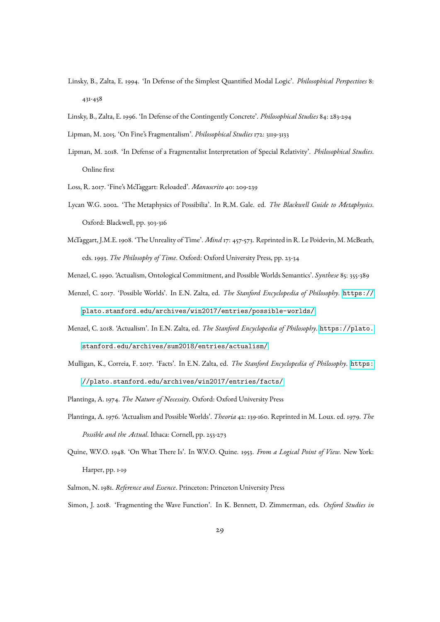- Linsky, B., Zalta, E. 1994. 'In Defense of the Simplest Quantified Modal Logic'. *Philosophical Perspectives* 8: 431-458
- Linsky, B., Zalta, E. 1996. 'In Defense of the Contingently Concrete'. *Philosophical Studies* 84: 283-294
- Lipman, M. 2015. 'On Fine's Fragmentalism'. *Philosophical Studies* 172: 3119-3133
- Lipman, M. 2018. 'In Defense of a Fragmentalist Interpretation of Special Relativity'. *Philosophical Studies*. Online first
- Loss, R. 2017. 'Fine's McTaggart: Reloaded'. *Manuscrito* 40: 209-239
- Lycan W.G. 2002. 'The Metaphysics of Possibilia'. In R.M. Gale. ed. *The Blackwell Guide to Metaphysics*. Oxford: Blackwell, pp. 303-316
- McTaggart, J.M.E. 1908. 'The Unreality of Time'. *Mind* 17: 457-573. Reprinted in R. Le Poidevin, M. McBeath, eds. 1993. *The Philosophy of Time*. Oxford: Oxford University Press, pp. 23-34
- Menzel, C. 1990. 'Actualism, Ontological Commitment, and Possible Worlds Semantics'. *Synthese* 85: 355-389
- Menzel, C. 2017. 'Possible Worlds'. In E.N. Zalta, ed. *The Stanford Encyclopedia of Philosophy*. [https://](https://plato.stanford.edu/archives/win2017/entries/possible-worlds/) [plato.stanford.edu/archives/win2017/entries/possible-worlds/](https://plato.stanford.edu/archives/win2017/entries/possible-worlds/)
- Menzel, C. 2018. 'Actualism'. In E.N. Zalta, ed. *The Stanford Encyclopedia of Philosophy*. [https://plato.](https://plato.stanford.edu/archives/sum2018/entries/actualism/) [stanford.edu/archives/sum2018/entries/actualism/](https://plato.stanford.edu/archives/sum2018/entries/actualism/)
- Mulligan, K., Correia, F. 2017. 'Facts'. In E.N. Zalta, ed. *The Stanford Encyclopedia of Philosophy*. [https:](https://plato.stanford.edu/archives/win2017/entries/facts/) [//plato.stanford.edu/archives/win2017/entries/facts/](https://plato.stanford.edu/archives/win2017/entries/facts/)

Plantinga, A. 1974. *The Nature of Necessity*. Oxford: Oxford University Press

- Plantinga, A. 1976. 'Actualism and Possible Worlds'. *Theoria* 42: 139-160. Reprinted in M. Loux. ed. 1979. *The Possible and the Actual*. Ithaca: Cornell, pp. 253-273
- Quine, W.V.O. 1948. 'On What There Is'. In W.V.O. Quine. 1953. *From a Logical Point of View*. New York: Harper, pp. 1-19
- Salmon, N. 1981. *Reference and Essence*. Princeton: Princeton University Press Simon, J. 2018. 'Fragmenting the Wave Function'. In K. Bennett, D. Zimmerman, eds. *Oxford Studies in*